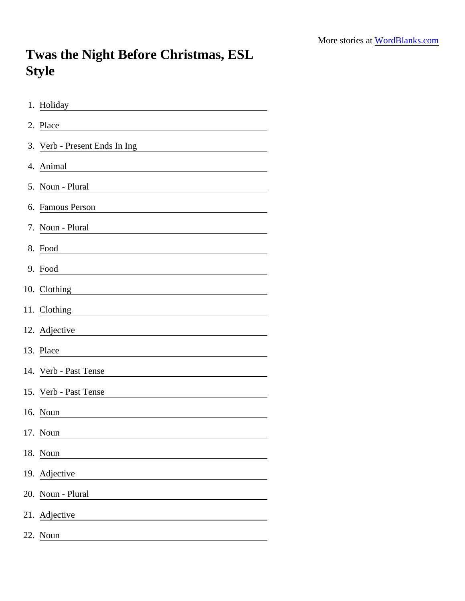## Twas the Night Before Christmas, ESL Style

| 1. Holiday                                                                                                                              |
|-----------------------------------------------------------------------------------------------------------------------------------------|
| 2. Place                                                                                                                                |
| 3. Verb - Present Ends In Ing                                                                                                           |
| 4. Animal                                                                                                                               |
| 5. Noun - Plural                                                                                                                        |
| 6. Famous Person                                                                                                                        |
| 7. Noun - Plural                                                                                                                        |
| 8. Food                                                                                                                                 |
| 9. Food                                                                                                                                 |
| 10. Clothing                                                                                                                            |
| 11. Clothing                                                                                                                            |
| 12. Adjective<br><u> 1989 - Johann Stoff, deutscher Stoffen und der Stoffen und der Stoffen und der Stoffen und der Stoffen und der</u> |
| 13. Place                                                                                                                               |
| 14. Verb - Past Tense                                                                                                                   |
| 15. Verb - Past Tense                                                                                                                   |
| 16. Noun                                                                                                                                |
| 17. Noun                                                                                                                                |
| 18. Noun<br><u> 1989 - Jan Alexandria (</u>                                                                                             |
| 19. Adjective                                                                                                                           |
| 20. Noun - Plural                                                                                                                       |
| 21. Adjective                                                                                                                           |
| 22. Noun                                                                                                                                |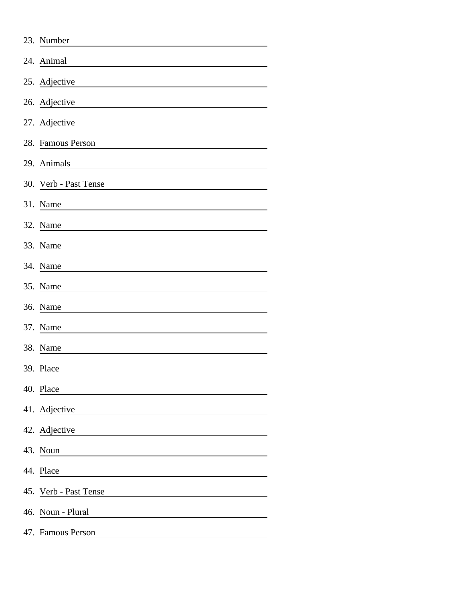| 23. Number            |
|-----------------------|
| 24. Animal            |
| 25. Adjective         |
| 26. Adjective         |
| 27. Adjective         |
| 28. Famous Person     |
| 29. Animals           |
| 30. Verb - Past Tense |
| 31. Name              |
| 32. Name              |
| 33. Name              |
| 34. Name              |
| 35. Name              |
| 36. Name              |
| 37. Name              |
| 38. Name              |
| 39. Place             |
| 40. Place             |
| 41. Adjective         |
| 42. Adjective         |
| 43. Noun              |
| 44. Place             |
| 45. Verb - Past Tense |
| 46. Noun - Plural     |
| 47. Famous Person     |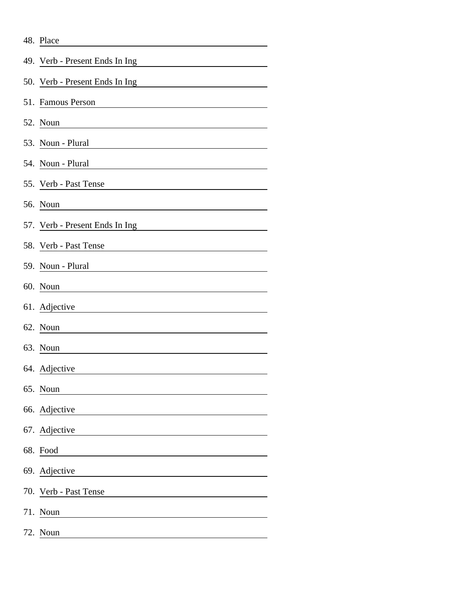|     | 48. Place                      |
|-----|--------------------------------|
|     | 49. Verb - Present Ends In Ing |
|     | 50. Verb - Present Ends In Ing |
|     | 51. Famous Person              |
|     | 52. Noun                       |
|     | 53. Noun - Plural              |
|     | 54. Noun - Plural              |
|     | 55. Verb - Past Tense          |
|     | 56. Noun                       |
|     | 57. Verb - Present Ends In Ing |
|     | 58. Verb - Past Tense          |
|     | 59. Noun - Plural              |
|     | 60. Noun                       |
|     | 61. Adjective                  |
|     | 62. Noun                       |
|     | 63. Noun                       |
|     | 64. Adjective                  |
|     | 65. Noun                       |
|     | 66. Adjective                  |
|     | 67. Adjective                  |
|     | 68. Food                       |
|     | 69. Adjective                  |
|     | 70. Verb - Past Tense          |
| 71. | Noun                           |
|     | 72. Noun                       |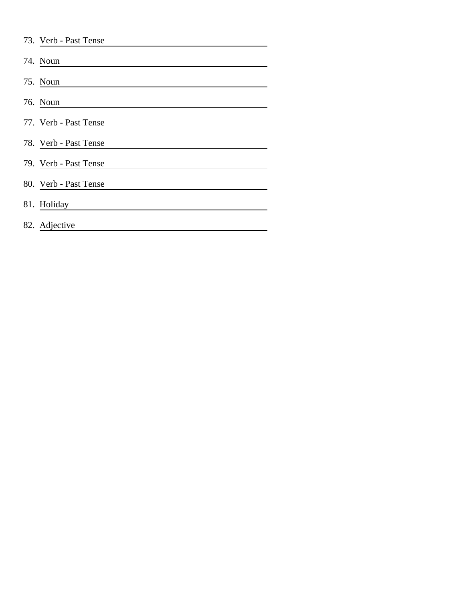| 73. Verb - Past Tense |
|-----------------------|
| 74. Noun              |
| 75. Noun              |
| 76. Noun              |
| 77. Verb - Past Tense |
| 78. Verb - Past Tense |
| 79. Verb - Past Tense |
| 80. Verb - Past Tense |
| 81. Holiday           |
| 82. Adjective         |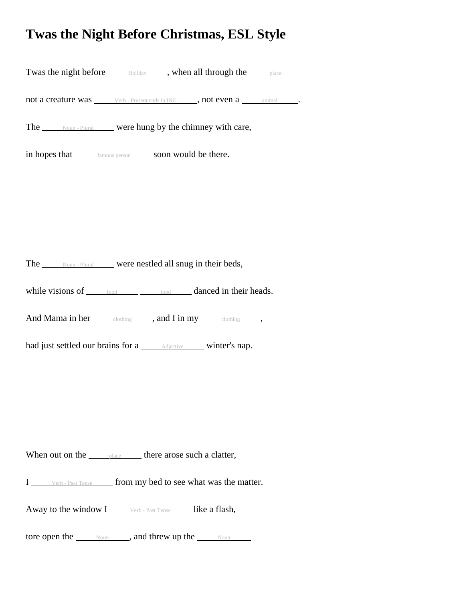## **Twas the Night Before Christmas, ESL Style**

Twas the night before  $\rule{1em}{0.15mm}$  Holiday  $\rule{1.5mm}{0.15mm}$ , when all through the place

not a creature was <u>verb - Present ends in ING</u> , not even a samimal ...

The  $\frac{N_{\text{Oun}} - \text{Plural}}{N_{\text{Oun}} - \text{Plural}}$  were hung by the chimney with care,

in hopes that  $\frac{f_{\text{amount person}}}{f_{\text{amount}}}}$  soon would be there.

The Noun - Plural were nestled all snug in their beds,

while visions of  $\qquad \qquad \text{food} \qquad \qquad \text{food} \qquad \qquad \text{danced in their heads.}$ 

And Mama in her clothing , and I in my clothing ,

had just settled our brains for a <u>Adjective winter's nap</u>.

When out on the  $\rule{1em}{0.15mm}$  place there arose such a clatter,

I verb - Past Tense from my bed to see what was the matter.

Away to the window  $I_{\text{user}}$  verb - Past Tense like a flash,

tore open the  $\frac{N_{\text{Oun}}}{N_{\text{Oun}}}$ , and threw up the  $\frac{N_{\text{Oun}}}{N_{\text{Oun}}}$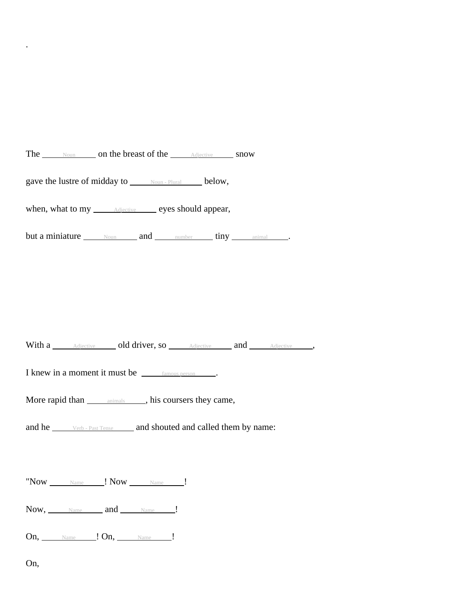The <u>Noun</u> on the breast of the Adjective snow

gave the lustre of midday to  $\frac{\text{Noun - Plural}}{\text{Noun - Plural}}$  below,

when, what to my  $\frac{\text{Adjective}}{\text{Adjective}}$  eyes should appear,

but a miniature Noun and number tiny animal .

With a **Adjective** old driver, so **Adjective** and Adjective ,

I knew in a moment it must be famous person .

More rapid than **animals** , his coursers they came,

and he <u>verb - Past Tense</u> and shouted and called them by name:

 $"Now$   $\qquad$   $\qquad$   $\qquad$   $\qquad$   $\qquad$   $\qquad$   $\qquad$   $\qquad$   $\qquad$   $\qquad$   $\qquad$   $\qquad$   $\qquad$   $\qquad$   $\qquad$   $\qquad$   $\qquad$   $\qquad$   $\qquad$   $\qquad$   $\qquad$   $\qquad$   $\qquad$   $\qquad$   $\qquad$   $\qquad$   $\qquad$   $\qquad$   $\qquad$   $\qquad$   $\qquad$   $\qquad$   $\qquad$   $\qquad$   $\qquad$   $\qquad$ 

Now, Name and Name !

On, Name ! On, Name !

On,

.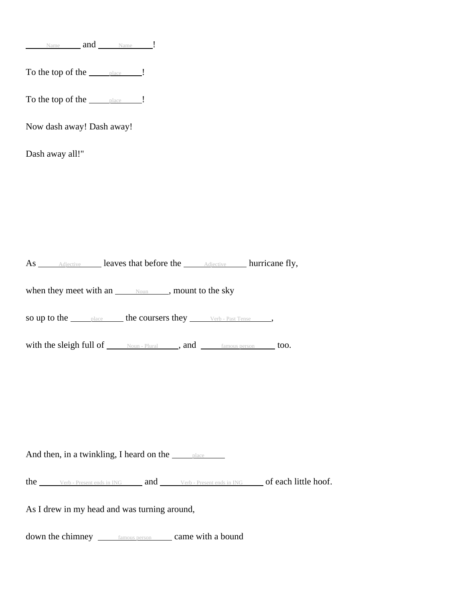Name and Name !

To the top of the place |

To the top of the place |

Now dash away! Dash away!

Dash away all!"

As <u>Adjective</u> leaves that before the **Adjective** hurricane fly,

when they meet with an  $\frac{N_{\text{OUD}}}{N_{\text{OUD}}}$ , mount to the sky

so up to the <u>place</u> the coursers they <u>verb - Past Tense</u> ,

with the sleigh full of  $\rule{1em}{0.15mm}$  Noun - Plural , and  $\rule{1em}{0.15mm}$   $\rule{1em}{0.15mm}$  famous person too.

And then, in a twinkling, I heard on the <u>place</u>

the <u>verb - Present ends in ING</u> and verb - Present ends in ING **of each little hoof.** 

As I drew in my head and was turning around,

down the chimney <u>famous person</u> came with a bound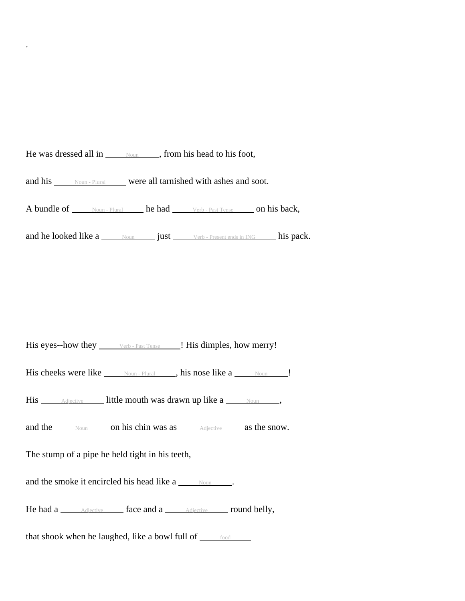He was dressed all in  $\frac{N_{\text{OUD}}}{N_{\text{OUD}}}$ , from his head to his foot, and his Noun - Plural were all tarnished with ashes and soot. A bundle of <u>Noun - Plural he had Verb - Past Tense</u> on his back, and he looked like a  $\frac{Noun}{Noun}$  just  $\frac{Verb - Present\ ends\ in\ ING}$  his pack.

His eyes--how they \_\_\_\_\_\_\_ Verb - Past Tense | His dimples, how merry!

His cheeks were like  $\frac{N_{\text{Oun}} -$  Plural , his nose like a  $\frac{N_{\text{Oun}}}{N_{\text{Oun}}}$ .

His <u>Adjective</u> little mouth was drawn up like a <u>Noun</u>,

and the Noun on his chin was as Adjective as the snow.

The stump of a pipe he held tight in his teeth,

.

and the smoke it encircled his head like  $a$   $\frac{Noun}{N}$ .

He had a <u>Adjective</u> face and a **Adjective round belly**,

that shook when he laughed, like a bowl full of  $\frac{1}{\text{food}}$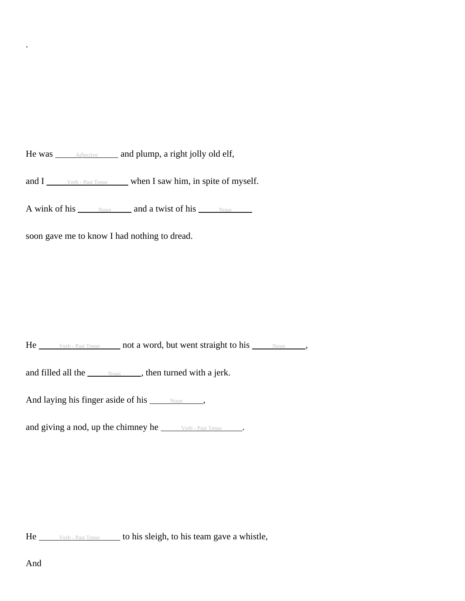He was **Adjective** and plump, a right jolly old elf,

and  $I_{\text{inter}}$  verb - Past Tense when I saw him, in spite of myself.

A wink of his  $\frac{N_{\text{Oun}}}{N_{\text{Oun}}}$  and a twist of his  $\frac{N_{\text{Oun}}}{N_{\text{Oun}}}$ 

soon gave me to know I had nothing to dread.

He <u>verb - Past Tense</u> not a word, but went straight to his Noun ,

and filled all the  $_{\text{Noun}}$ , then turned with a jerk.

And laying his finger aside of his  $\frac{\text{Noun}}{\text{Noun}}$ ,

and giving a nod, up the chimney he *verb* - Past Tense ...

He <u>verb - Past Tense</u> to his sleigh, to his team gave a whistle,

.